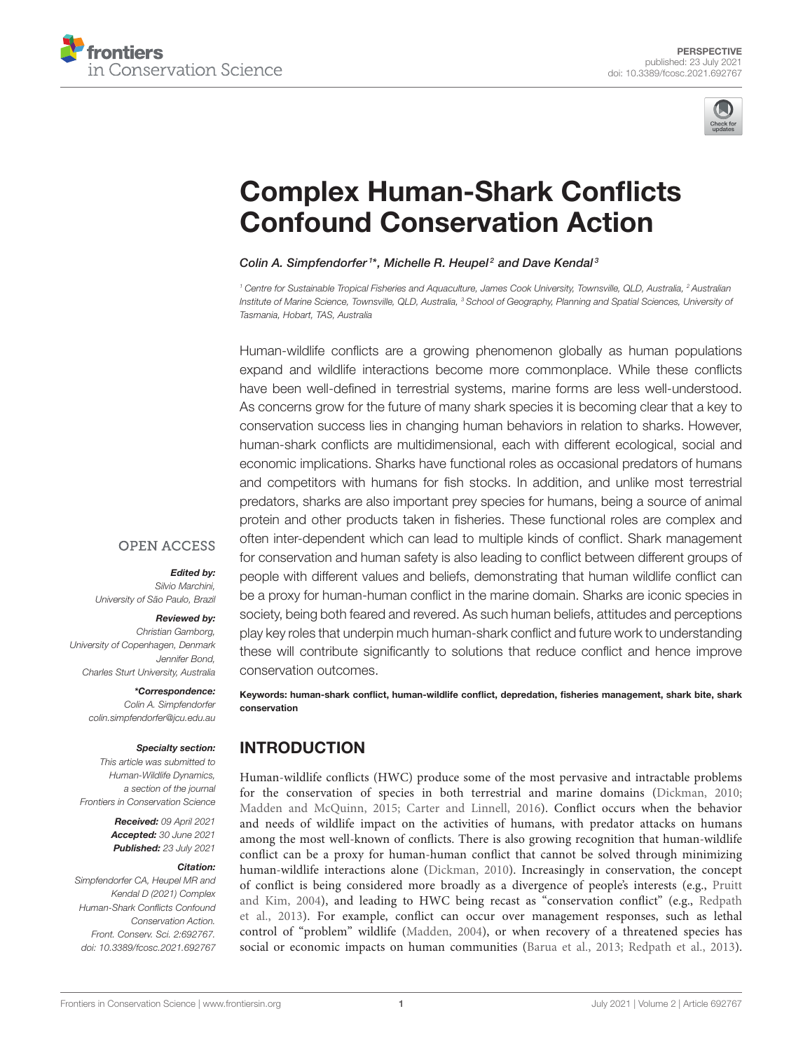



# [Complex Human-Shark Conflicts](https://www.frontiersin.org/articles/10.3389/fcosc.2021.692767/full) Confound Conservation Action

### Colin A. Simpfendorfer<sup>1\*</sup>, Michelle R. Heupel<sup>2</sup> and Dave Kendal<sup>3</sup>

<sup>1</sup> Centre for Sustainable Tropical Fisheries and Aquaculture, James Cook University, Townsville, QLD, Australia, <sup>2</sup> Australian Institute of Marine Science, Townsville, QLD, Australia, <sup>3</sup> School of Geography, Planning and Spatial Sciences, University of Tasmania, Hobart, TAS, Australia

Human-wildlife conflicts are a growing phenomenon globally as human populations expand and wildlife interactions become more commonplace. While these conflicts have been well-defined in terrestrial systems, marine forms are less well-understood. As concerns grow for the future of many shark species it is becoming clear that a key to conservation success lies in changing human behaviors in relation to sharks. However, human-shark conflicts are multidimensional, each with different ecological, social and economic implications. Sharks have functional roles as occasional predators of humans and competitors with humans for fish stocks. In addition, and unlike most terrestrial predators, sharks are also important prey species for humans, being a source of animal protein and other products taken in fisheries. These functional roles are complex and often inter-dependent which can lead to multiple kinds of conflict. Shark management for conservation and human safety is also leading to conflict between different groups of people with different values and beliefs, demonstrating that human wildlife conflict can be a proxy for human-human conflict in the marine domain. Sharks are iconic species in society, being both feared and revered. As such human beliefs, attitudes and perceptions play key roles that underpin much human-shark conflict and future work to understanding these will contribute significantly to solutions that reduce conflict and hence improve conservation outcomes.

**OPEN ACCESS** 

### Edited by:

Silvio Marchini, University of São Paulo, Brazil

### Reviewed by:

Christian Gamborg, University of Copenhagen, Denmark Jennifer Bond, Charles Sturt University, Australia

> \*Correspondence: Colin A. Simpfendorfer [colin.simpfendorfer@jcu.edu.au](mailto:colin.simpfendorfer@jcu.edu.au)

#### Specialty section:

This article was submitted to Human-Wildlife Dynamics, a section of the journal Frontiers in Conservation Science

> Received: 09 April 2021 Accepted: 30 June 2021 Published: 23 July 2021

### Citation:

Simpfendorfer CA, Heupel MR and Kendal D (2021) Complex Human-Shark Conflicts Confound Conservation Action. Front. Conserv. Sci. 2:692767. doi: [10.3389/fcosc.2021.692767](https://doi.org/10.3389/fcosc.2021.692767)

Keywords: human-shark conflict, human-wildlife conflict, depredation, fisheries management, shark bite, shark conservation

# INTRODUCTION

Human-wildlife conflicts (HWC) produce some of the most pervasive and intractable problems for the conservation of species in both terrestrial and marine domains [\(Dickman, 2010;](#page-5-0) [Madden and McQuinn, 2015;](#page-6-0) [Carter and Linnell, 2016\)](#page-5-1). Conflict occurs when the behavior and needs of wildlife impact on the activities of humans, with predator attacks on humans among the most well-known of conflicts. There is also growing recognition that human-wildlife conflict can be a proxy for human-human conflict that cannot be solved through minimizing human-wildlife interactions alone [\(Dickman, 2010\)](#page-5-0). Increasingly in conservation, the concept of conflict is being considered more broadly as a divergence of people's interests (e.g., Pruitt and Kim, [2004\)](#page-6-1), and leading to HWC being recast as "conservation conflict" (e.g., Redpath et al., [2013\)](#page-6-2). For example, conflict can occur over management responses, such as lethal control of "problem" wildlife [\(Madden, 2004\)](#page-6-3), or when recovery of a threatened species has social or economic impacts on human communities [\(Barua et al., 2013;](#page-5-2) [Redpath et al., 2013\)](#page-6-2).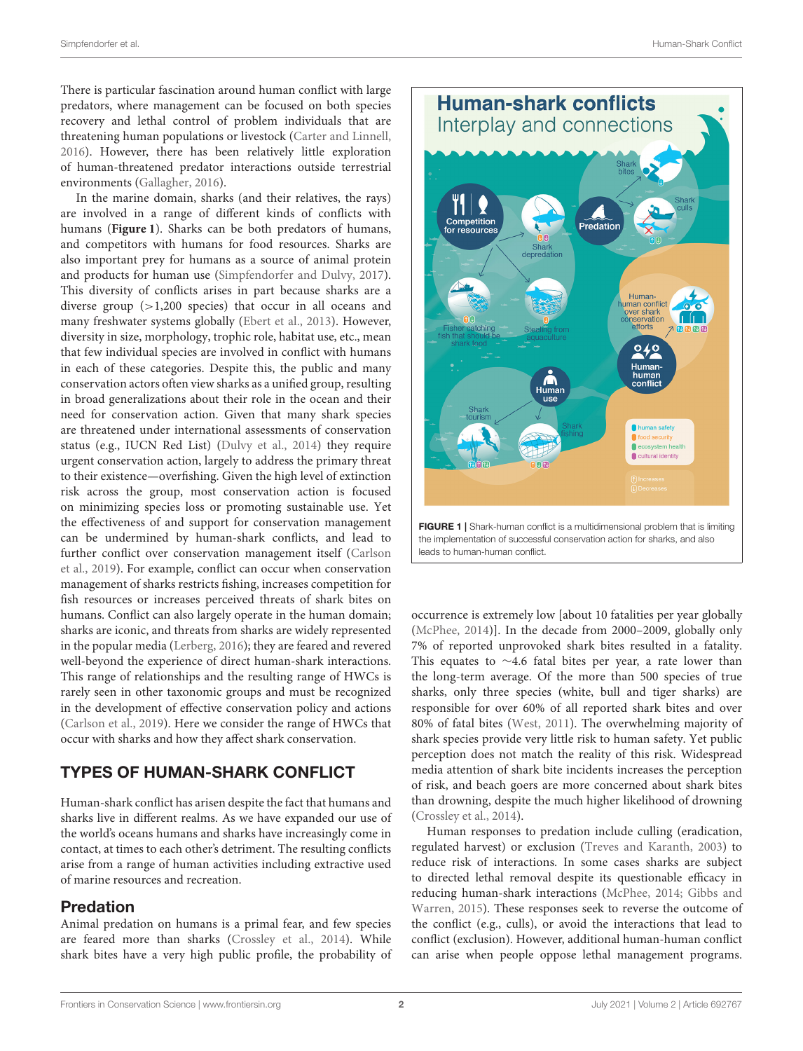There is particular fascination around human conflict with large predators, where management can be focused on both species recovery and lethal control of problem individuals that are threatening human populations or livestock [\(Carter and Linnell,](#page-5-1) [2016\)](#page-5-1). However, there has been relatively little exploration of human-threatened predator interactions outside terrestrial environments [\(Gallagher, 2016\)](#page-6-4).

In the marine domain, sharks (and their relatives, the rays) are involved in a range of different kinds of conflicts with humans (**[Figure 1](#page-1-0)**). Sharks can be both predators of humans, and competitors with humans for food resources. Sharks are also important prey for humans as a source of animal protein and products for human use [\(Simpfendorfer and Dulvy, 2017\)](#page-6-5). This diversity of conflicts arises in part because sharks are a diverse group (>1,200 species) that occur in all oceans and many freshwater systems globally [\(Ebert et al., 2013\)](#page-6-6). However, diversity in size, morphology, trophic role, habitat use, etc., mean that few individual species are involved in conflict with humans in each of these categories. Despite this, the public and many conservation actors often view sharks as a unified group, resulting in broad generalizations about their role in the ocean and their need for conservation action. Given that many shark species are threatened under international assessments of conservation status (e.g., IUCN Red List) [\(Dulvy et al., 2014\)](#page-5-3) they require urgent conservation action, largely to address the primary threat to their existence—overfishing. Given the high level of extinction risk across the group, most conservation action is focused on minimizing species loss or promoting sustainable use. Yet the effectiveness of and support for conservation management can be undermined by human-shark conflicts, and lead to further conflict over conservation management itself (Carlson et al., [2019\)](#page-5-4). For example, conflict can occur when conservation management of sharks restricts fishing, increases competition for fish resources or increases perceived threats of shark bites on humans. Conflict can also largely operate in the human domain; sharks are iconic, and threats from sharks are widely represented in the popular media [\(Lerberg, 2016\)](#page-6-7); they are feared and revered well-beyond the experience of direct human-shark interactions. This range of relationships and the resulting range of HWCs is rarely seen in other taxonomic groups and must be recognized in the development of effective conservation policy and actions [\(Carlson et al., 2019\)](#page-5-4). Here we consider the range of HWCs that occur with sharks and how they affect shark conservation.

# TYPES OF HUMAN-SHARK CONFLICT

Human-shark conflict has arisen despite the fact that humans and sharks live in different realms. As we have expanded our use of the world's oceans humans and sharks have increasingly come in contact, at times to each other's detriment. The resulting conflicts arise from a range of human activities including extractive used of marine resources and recreation.

# Predation

Animal predation on humans is a primal fear, and few species are feared more than sharks [\(Crossley et al., 2014\)](#page-5-5). While shark bites have a very high public profile, the probability of



<span id="page-1-0"></span>occurrence is extremely low [about 10 fatalities per year globally [\(McPhee, 2014\)](#page-6-8)]. In the decade from 2000–2009, globally only 7% of reported unprovoked shark bites resulted in a fatality. This equates to  $\sim$ 4.6 fatal bites per year, a rate lower than the long-term average. Of the more than 500 species of true sharks, only three species (white, bull and tiger sharks) are responsible for over 60% of all reported shark bites and over 80% of fatal bites [\(West, 2011\)](#page-6-9). The overwhelming majority of shark species provide very little risk to human safety. Yet public perception does not match the reality of this risk. Widespread media attention of shark bite incidents increases the perception of risk, and beach goers are more concerned about shark bites than drowning, despite the much higher likelihood of drowning [\(Crossley et al., 2014\)](#page-5-5).

Human responses to predation include culling (eradication, regulated harvest) or exclusion [\(Treves and Karanth, 2003\)](#page-6-10) to reduce risk of interactions. In some cases sharks are subject to directed lethal removal despite its questionable efficacy in reducing human-shark interactions [\(McPhee, 2014;](#page-6-8) Gibbs and Warren, [2015\)](#page-6-11). These responses seek to reverse the outcome of the conflict (e.g., culls), or avoid the interactions that lead to conflict (exclusion). However, additional human-human conflict can arise when people oppose lethal management programs.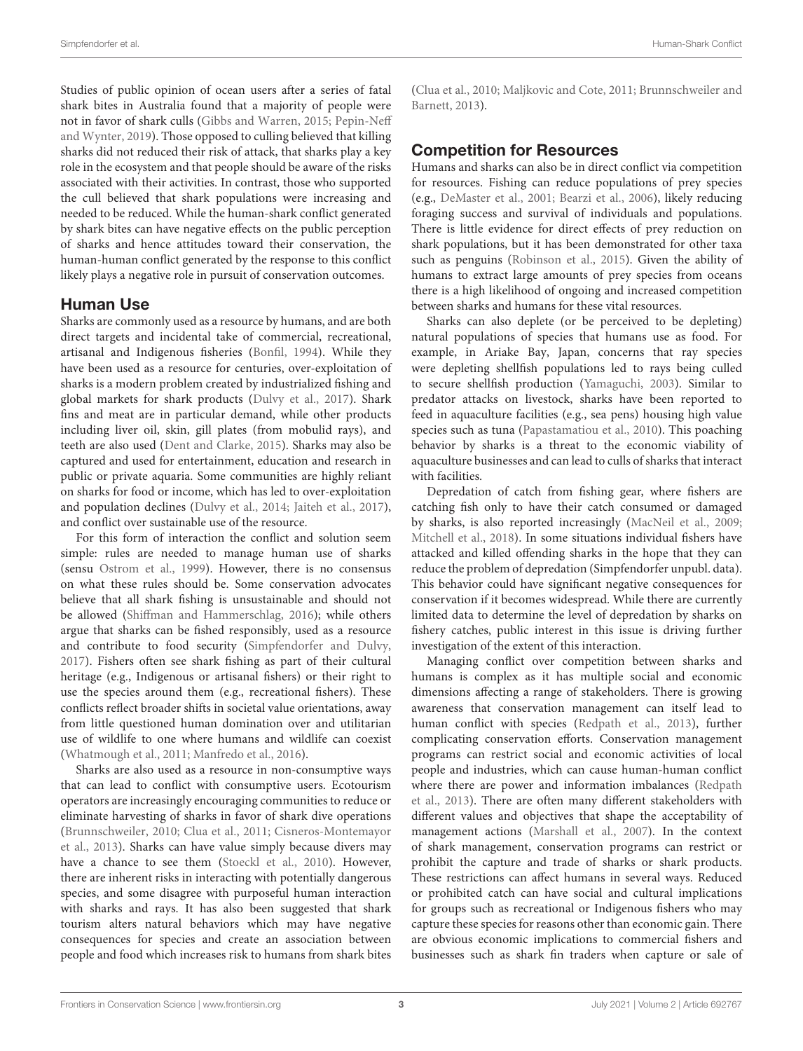Studies of public opinion of ocean users after a series of fatal shark bites in Australia found that a majority of people were not in favor of shark culls [\(Gibbs and Warren, 2015;](#page-6-11) Pepin-Neff and Wynter, [2019\)](#page-6-12). Those opposed to culling believed that killing sharks did not reduced their risk of attack, that sharks play a key role in the ecosystem and that people should be aware of the risks associated with their activities. In contrast, those who supported the cull believed that shark populations were increasing and needed to be reduced. While the human-shark conflict generated by shark bites can have negative effects on the public perception of sharks and hence attitudes toward their conservation, the human-human conflict generated by the response to this conflict likely plays a negative role in pursuit of conservation outcomes.

### Human Use

Sharks are commonly used as a resource by humans, and are both direct targets and incidental take of commercial, recreational, artisanal and Indigenous fisheries [\(Bonfil, 1994\)](#page-5-6). While they have been used as a resource for centuries, over-exploitation of sharks is a modern problem created by industrialized fishing and global markets for shark products [\(Dulvy et al., 2017\)](#page-5-7). Shark fins and meat are in particular demand, while other products including liver oil, skin, gill plates (from mobulid rays), and teeth are also used [\(Dent and Clarke, 2015\)](#page-5-8). Sharks may also be captured and used for entertainment, education and research in public or private aquaria. Some communities are highly reliant on sharks for food or income, which has led to over-exploitation and population declines [\(Dulvy et al., 2014;](#page-5-3) [Jaiteh et al., 2017\)](#page-6-13), and conflict over sustainable use of the resource.

For this form of interaction the conflict and solution seem simple: rules are needed to manage human use of sharks (sensu [Ostrom et al., 1999\)](#page-6-14). However, there is no consensus on what these rules should be. Some conservation advocates believe that all shark fishing is unsustainable and should not be allowed [\(Shiffman and Hammerschlag, 2016\)](#page-6-15); while others argue that sharks can be fished responsibly, used as a resource and contribute to food security [\(Simpfendorfer and Dulvy,](#page-6-5) [2017\)](#page-6-5). Fishers often see shark fishing as part of their cultural heritage (e.g., Indigenous or artisanal fishers) or their right to use the species around them (e.g., recreational fishers). These conflicts reflect broader shifts in societal value orientations, away from little questioned human domination over and utilitarian use of wildlife to one where humans and wildlife can coexist [\(Whatmough et al., 2011;](#page-6-16) [Manfredo et al., 2016\)](#page-6-17).

Sharks are also used as a resource in non-consumptive ways that can lead to conflict with consumptive users. Ecotourism operators are increasingly encouraging communities to reduce or eliminate harvesting of sharks in favor of shark dive operations [\(Brunnschweiler, 2010;](#page-5-9) [Clua et al., 2011;](#page-5-10) Cisneros-Montemayor et al., [2013\)](#page-5-11). Sharks can have value simply because divers may have a chance to see them [\(Stoeckl et al., 2010\)](#page-6-18). However, there are inherent risks in interacting with potentially dangerous species, and some disagree with purposeful human interaction with sharks and rays. It has also been suggested that shark tourism alters natural behaviors which may have negative consequences for species and create an association between people and food which increases risk to humans from shark bites [\(Clua et al., 2010;](#page-5-12) [Maljkovic and Cote, 2011;](#page-6-19) Brunnschweiler and Barnett, [2013\)](#page-5-13).

### Competition for Resources

Humans and sharks can also be in direct conflict via competition for resources. Fishing can reduce populations of prey species (e.g., [DeMaster et al., 2001;](#page-5-14) [Bearzi et al., 2006\)](#page-5-15), likely reducing foraging success and survival of individuals and populations. There is little evidence for direct effects of prey reduction on shark populations, but it has been demonstrated for other taxa such as penguins [\(Robinson et al., 2015\)](#page-6-20). Given the ability of humans to extract large amounts of prey species from oceans there is a high likelihood of ongoing and increased competition between sharks and humans for these vital resources.

Sharks can also deplete (or be perceived to be depleting) natural populations of species that humans use as food. For example, in Ariake Bay, Japan, concerns that ray species were depleting shellfish populations led to rays being culled to secure shellfish production [\(Yamaguchi, 2003\)](#page-7-0). Similar to predator attacks on livestock, sharks have been reported to feed in aquaculture facilities (e.g., sea pens) housing high value species such as tuna [\(Papastamatiou et al., 2010\)](#page-6-21). This poaching behavior by sharks is a threat to the economic viability of aquaculture businesses and can lead to culls of sharks that interact with facilities.

Depredation of catch from fishing gear, where fishers are catching fish only to have their catch consumed or damaged by sharks, is also reported increasingly [\(MacNeil et al., 2009;](#page-6-22) [Mitchell et al., 2018\)](#page-6-23). In some situations individual fishers have attacked and killed offending sharks in the hope that they can reduce the problem of depredation (Simpfendorfer unpubl. data). This behavior could have significant negative consequences for conservation if it becomes widespread. While there are currently limited data to determine the level of depredation by sharks on fishery catches, public interest in this issue is driving further investigation of the extent of this interaction.

Managing conflict over competition between sharks and humans is complex as it has multiple social and economic dimensions affecting a range of stakeholders. There is growing awareness that conservation management can itself lead to human conflict with species [\(Redpath et al., 2013\)](#page-6-2), further complicating conservation efforts. Conservation management programs can restrict social and economic activities of local people and industries, which can cause human-human conflict where there are power and information imbalances (Redpath et al., [2013\)](#page-6-2). There are often many different stakeholders with different values and objectives that shape the acceptability of management actions [\(Marshall et al., 2007\)](#page-6-24). In the context of shark management, conservation programs can restrict or prohibit the capture and trade of sharks or shark products. These restrictions can affect humans in several ways. Reduced or prohibited catch can have social and cultural implications for groups such as recreational or Indigenous fishers who may capture these species for reasons other than economic gain. There are obvious economic implications to commercial fishers and businesses such as shark fin traders when capture or sale of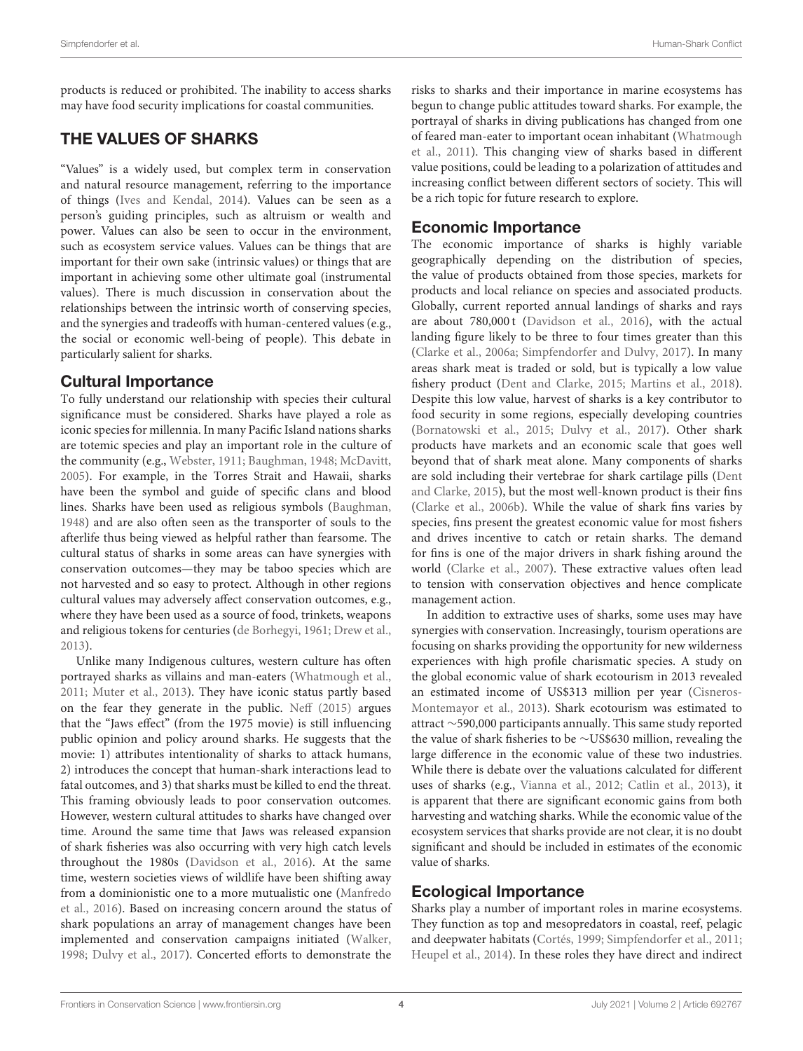products is reduced or prohibited. The inability to access sharks may have food security implications for coastal communities.

# THE VALUES OF SHARKS

"Values" is a widely used, but complex term in conservation and natural resource management, referring to the importance of things [\(Ives and Kendal, 2014\)](#page-6-25). Values can be seen as a person's guiding principles, such as altruism or wealth and power. Values can also be seen to occur in the environment, such as ecosystem service values. Values can be things that are important for their own sake (intrinsic values) or things that are important in achieving some other ultimate goal (instrumental values). There is much discussion in conservation about the relationships between the intrinsic worth of conserving species, and the synergies and tradeoffs with human-centered values (e.g., the social or economic well-being of people). This debate in particularly salient for sharks.

# Cultural Importance

To fully understand our relationship with species their cultural significance must be considered. Sharks have played a role as iconic species for millennia. In many Pacific Island nations sharks are totemic species and play an important role in the culture of the community (e.g., [Webster, 1911;](#page-6-26) [Baughman, 1948;](#page-5-16) [McDavitt,](#page-6-27) [2005\)](#page-6-27). For example, in the Torres Strait and Hawaii, sharks have been the symbol and guide of specific clans and blood lines. Sharks have been used as religious symbols [\(Baughman,](#page-5-16) [1948\)](#page-5-16) and are also often seen as the transporter of souls to the afterlife thus being viewed as helpful rather than fearsome. The cultural status of sharks in some areas can have synergies with conservation outcomes—they may be taboo species which are not harvested and so easy to protect. Although in other regions cultural values may adversely affect conservation outcomes, e.g., where they have been used as a source of food, trinkets, weapons and religious tokens for centuries [\(de Borhegyi, 1961;](#page-5-17) [Drew et al.,](#page-5-18) [2013\)](#page-5-18).

Unlike many Indigenous cultures, western culture has often portrayed sharks as villains and man-eaters [\(Whatmough et al.,](#page-6-16) [2011;](#page-6-16) [Muter et al., 2013\)](#page-6-28). They have iconic status partly based on the fear they generate in the public. [Neff \(2015\)](#page-6-29) argues that the "Jaws effect" (from the 1975 movie) is still influencing public opinion and policy around sharks. He suggests that the movie: 1) attributes intentionality of sharks to attack humans, 2) introduces the concept that human-shark interactions lead to fatal outcomes, and 3) that sharks must be killed to end the threat. This framing obviously leads to poor conservation outcomes. However, western cultural attitudes to sharks have changed over time. Around the same time that Jaws was released expansion of shark fisheries was also occurring with very high catch levels throughout the 1980s [\(Davidson et al., 2016\)](#page-5-19). At the same time, western societies views of wildlife have been shifting away from a dominionistic one to a more mutualistic one (Manfredo et al., [2016\)](#page-6-17). Based on increasing concern around the status of shark populations an array of management changes have been implemented and conservation campaigns initiated [\(Walker,](#page-6-30) [1998;](#page-6-30) [Dulvy et al., 2017\)](#page-5-7). Concerted efforts to demonstrate the risks to sharks and their importance in marine ecosystems has begun to change public attitudes toward sharks. For example, the portrayal of sharks in diving publications has changed from one of feared man-eater to important ocean inhabitant (Whatmough et al., [2011\)](#page-6-16). This changing view of sharks based in different value positions, could be leading to a polarization of attitudes and increasing conflict between different sectors of society. This will be a rich topic for future research to explore.

# Economic Importance

The economic importance of sharks is highly variable geographically depending on the distribution of species, the value of products obtained from those species, markets for products and local reliance on species and associated products. Globally, current reported annual landings of sharks and rays are about 780,000 t [\(Davidson et al., 2016\)](#page-5-19), with the actual landing figure likely to be three to four times greater than this [\(Clarke et al., 2006a;](#page-5-20) [Simpfendorfer and Dulvy, 2017\)](#page-6-5). In many areas shark meat is traded or sold, but is typically a low value fishery product [\(Dent and Clarke, 2015;](#page-5-8) [Martins et al., 2018\)](#page-6-31). Despite this low value, harvest of sharks is a key contributor to food security in some regions, especially developing countries [\(Bornatowski et al., 2015;](#page-5-21) [Dulvy et al., 2017\)](#page-5-7). Other shark products have markets and an economic scale that goes well beyond that of shark meat alone. Many components of sharks are sold including their vertebrae for shark cartilage pills (Dent and Clarke, [2015\)](#page-5-8), but the most well-known product is their fins [\(Clarke et al., 2006b\)](#page-5-22). While the value of shark fins varies by species, fins present the greatest economic value for most fishers and drives incentive to catch or retain sharks. The demand for fins is one of the major drivers in shark fishing around the world [\(Clarke et al., 2007\)](#page-5-23). These extractive values often lead to tension with conservation objectives and hence complicate management action.

In addition to extractive uses of sharks, some uses may have synergies with conservation. Increasingly, tourism operations are focusing on sharks providing the opportunity for new wilderness experiences with high profile charismatic species. A study on the global economic value of shark ecotourism in 2013 revealed an estimated income of US\$313 million per year (Cisneros-Montemayor et al., [2013\)](#page-5-11). Shark ecotourism was estimated to attract ∼590,000 participants annually. This same study reported the value of shark fisheries to be ∼US\$630 million, revealing the large difference in the economic value of these two industries. While there is debate over the valuations calculated for different uses of sharks (e.g., [Vianna et al., 2012;](#page-6-32) [Catlin et al., 2013\)](#page-5-24), it is apparent that there are significant economic gains from both harvesting and watching sharks. While the economic value of the ecosystem services that sharks provide are not clear, it is no doubt significant and should be included in estimates of the economic value of sharks.

# Ecological Importance

Sharks play a number of important roles in marine ecosystems. They function as top and mesopredators in coastal, reef, pelagic and deepwater habitats [\(Cortés, 1999;](#page-5-25) [Simpfendorfer et al., 2011;](#page-6-33) [Heupel et al., 2014\)](#page-6-34). In these roles they have direct and indirect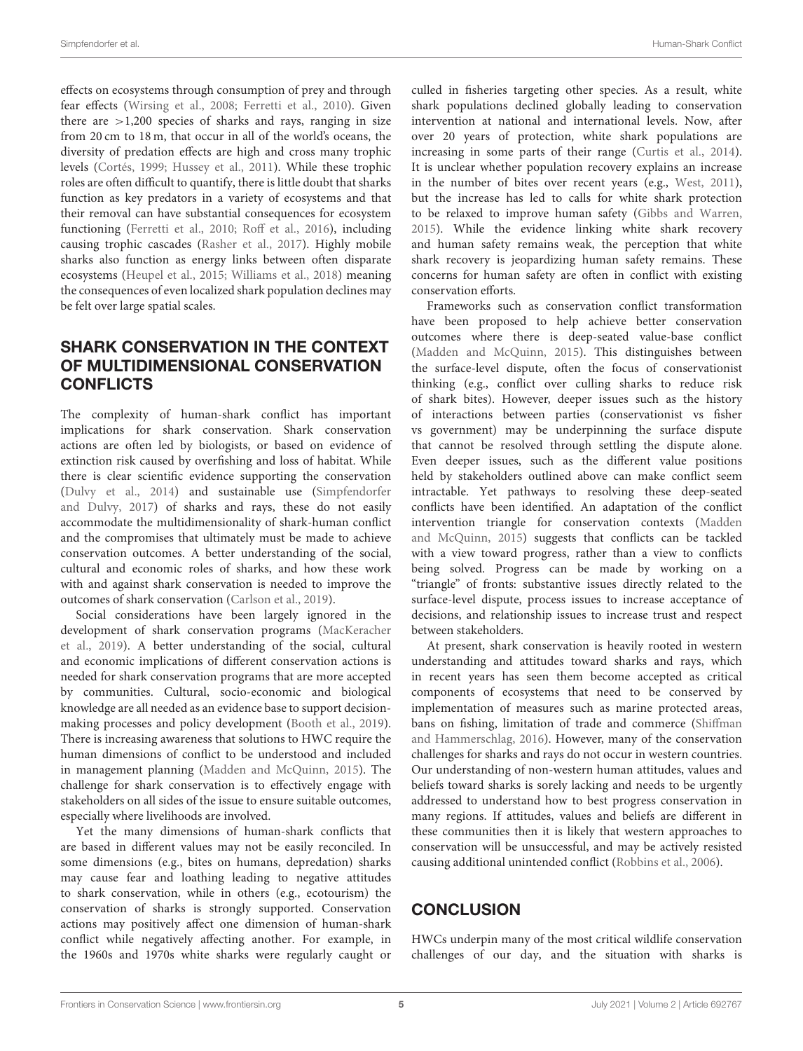effects on ecosystems through consumption of prey and through fear effects [\(Wirsing et al., 2008;](#page-7-1) [Ferretti et al., 2010\)](#page-6-35). Given there are  $>1,200$  species of sharks and rays, ranging in size from 20 cm to 18 m, that occur in all of the world's oceans, the diversity of predation effects are high and cross many trophic levels [\(Cortés, 1999;](#page-5-25) [Hussey et al., 2011\)](#page-6-36). While these trophic roles are often difficult to quantify, there is little doubt that sharks function as key predators in a variety of ecosystems and that their removal can have substantial consequences for ecosystem functioning [\(Ferretti et al., 2010;](#page-6-35) [Roff et al., 2016\)](#page-6-37), including causing trophic cascades [\(Rasher et al., 2017\)](#page-6-38). Highly mobile sharks also function as energy links between often disparate ecosystems [\(Heupel et al., 2015;](#page-6-39) [Williams et al., 2018\)](#page-7-2) meaning the consequences of even localized shark population declines may be felt over large spatial scales.

# SHARK CONSERVATION IN THE CONTEXT OF MULTIDIMENSIONAL CONSERVATION **CONFLICTS**

The complexity of human-shark conflict has important implications for shark conservation. Shark conservation actions are often led by biologists, or based on evidence of extinction risk caused by overfishing and loss of habitat. While there is clear scientific evidence supporting the conservation [\(Dulvy et al., 2014\)](#page-5-3) and sustainable use (Simpfendorfer and Dulvy, [2017\)](#page-6-5) of sharks and rays, these do not easily accommodate the multidimensionality of shark-human conflict and the compromises that ultimately must be made to achieve conservation outcomes. A better understanding of the social, cultural and economic roles of sharks, and how these work with and against shark conservation is needed to improve the outcomes of shark conservation [\(Carlson et al., 2019\)](#page-5-4).

Social considerations have been largely ignored in the development of shark conservation programs (MacKeracher et al., [2019\)](#page-6-40). A better understanding of the social, cultural and economic implications of different conservation actions is needed for shark conservation programs that are more accepted by communities. Cultural, socio-economic and biological knowledge are all needed as an evidence base to support decisionmaking processes and policy development [\(Booth et al., 2019\)](#page-5-26). There is increasing awareness that solutions to HWC require the human dimensions of conflict to be understood and included in management planning [\(Madden and McQuinn, 2015\)](#page-6-0). The challenge for shark conservation is to effectively engage with stakeholders on all sides of the issue to ensure suitable outcomes, especially where livelihoods are involved.

Yet the many dimensions of human-shark conflicts that are based in different values may not be easily reconciled. In some dimensions (e.g., bites on humans, depredation) sharks may cause fear and loathing leading to negative attitudes to shark conservation, while in others (e.g., ecotourism) the conservation of sharks is strongly supported. Conservation actions may positively affect one dimension of human-shark conflict while negatively affecting another. For example, in the 1960s and 1970s white sharks were regularly caught or culled in fisheries targeting other species. As a result, white shark populations declined globally leading to conservation intervention at national and international levels. Now, after over 20 years of protection, white shark populations are increasing in some parts of their range [\(Curtis et al., 2014\)](#page-5-27). It is unclear whether population recovery explains an increase in the number of bites over recent years (e.g., [West, 2011\)](#page-6-9), but the increase has led to calls for white shark protection to be relaxed to improve human safety [\(Gibbs and Warren,](#page-6-11) [2015\)](#page-6-11). While the evidence linking white shark recovery and human safety remains weak, the perception that white shark recovery is jeopardizing human safety remains. These concerns for human safety are often in conflict with existing conservation efforts.

Frameworks such as conservation conflict transformation have been proposed to help achieve better conservation outcomes where there is deep-seated value-base conflict [\(Madden and McQuinn, 2015\)](#page-6-0). This distinguishes between the surface-level dispute, often the focus of conservationist thinking (e.g., conflict over culling sharks to reduce risk of shark bites). However, deeper issues such as the history of interactions between parties (conservationist vs fisher vs government) may be underpinning the surface dispute that cannot be resolved through settling the dispute alone. Even deeper issues, such as the different value positions held by stakeholders outlined above can make conflict seem intractable. Yet pathways to resolving these deep-seated conflicts have been identified. An adaptation of the conflict intervention triangle for conservation contexts (Madden and McQuinn, [2015\)](#page-6-0) suggests that conflicts can be tackled with a view toward progress, rather than a view to conflicts being solved. Progress can be made by working on a "triangle" of fronts: substantive issues directly related to the surface-level dispute, process issues to increase acceptance of decisions, and relationship issues to increase trust and respect between stakeholders.

At present, shark conservation is heavily rooted in western understanding and attitudes toward sharks and rays, which in recent years has seen them become accepted as critical components of ecosystems that need to be conserved by implementation of measures such as marine protected areas, bans on fishing, limitation of trade and commerce (Shiffman and Hammerschlag, [2016\)](#page-6-15). However, many of the conservation challenges for sharks and rays do not occur in western countries. Our understanding of non-western human attitudes, values and beliefs toward sharks is sorely lacking and needs to be urgently addressed to understand how to best progress conservation in many regions. If attitudes, values and beliefs are different in these communities then it is likely that western approaches to conservation will be unsuccessful, and may be actively resisted causing additional unintended conflict [\(Robbins et al., 2006\)](#page-6-41).

# **CONCLUSION**

HWCs underpin many of the most critical wildlife conservation challenges of our day, and the situation with sharks is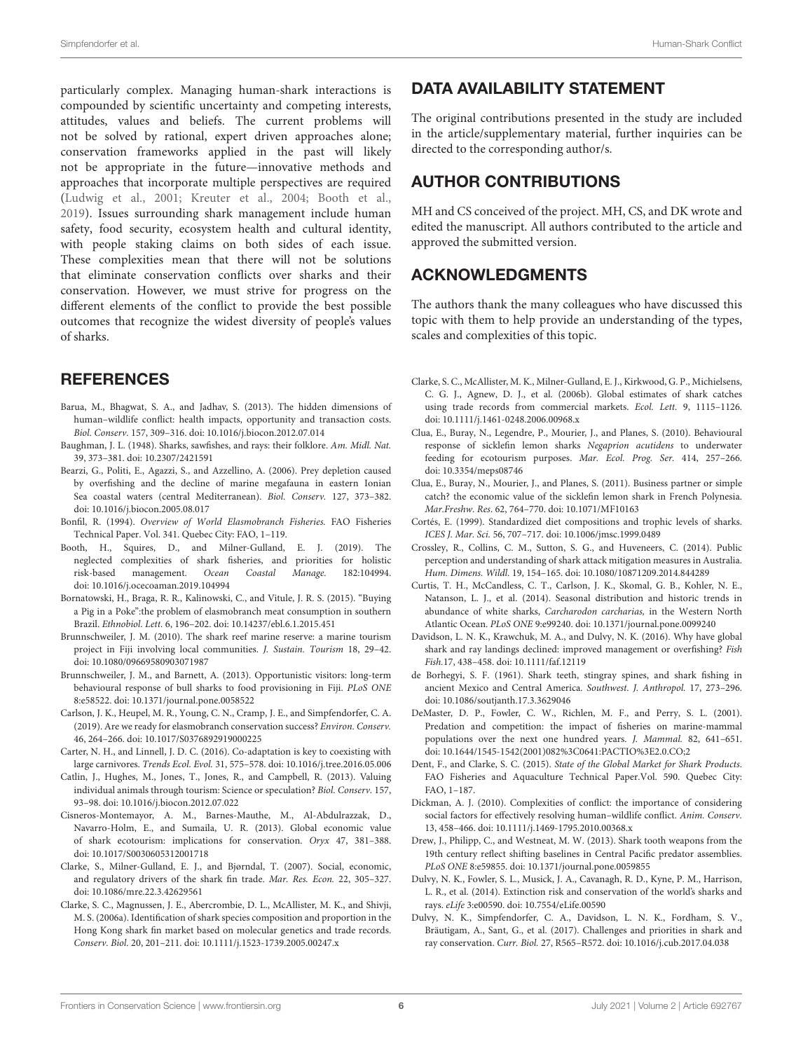particularly complex. Managing human-shark interactions is compounded by scientific uncertainty and competing interests, attitudes, values and beliefs. The current problems will not be solved by rational, expert driven approaches alone; conservation frameworks applied in the past will likely not be appropriate in the future—innovative methods and approaches that incorporate multiple perspectives are required [\(Ludwig et al., 2001;](#page-6-42) [Kreuter et al., 2004;](#page-6-43) [Booth et al.,](#page-5-26) [2019\)](#page-5-26). Issues surrounding shark management include human safety, food security, ecosystem health and cultural identity, with people staking claims on both sides of each issue. These complexities mean that there will not be solutions that eliminate conservation conflicts over sharks and their conservation. However, we must strive for progress on the different elements of the conflict to provide the best possible outcomes that recognize the widest diversity of people's values of sharks.

# **REFERENCES**

- <span id="page-5-2"></span>Barua, M., Bhagwat, S. A., and Jadhav, S. (2013). The hidden dimensions of human–wildlife conflict: health impacts, opportunity and transaction costs. Biol. Conserv. 157, 309–316. doi: [10.1016/j.biocon.2012.07.014](https://doi.org/10.1016/j.biocon.2012.07.014)
- <span id="page-5-16"></span>Baughman, J. L. (1948). Sharks, sawfishes, and rays: their folklore. Am. Midl. Nat. 39, 373–381. doi: [10.2307/2421591](https://doi.org/10.2307/2421591)
- <span id="page-5-15"></span>Bearzi, G., Politi, E., Agazzi, S., and Azzellino, A. (2006). Prey depletion caused by overfishing and the decline of marine megafauna in eastern Ionian Sea coastal waters (central Mediterranean). Biol. Conserv. 127, 373–382. doi: [10.1016/j.biocon.2005.08.017](https://doi.org/10.1016/j.biocon.2005.08.017)
- <span id="page-5-6"></span>Bonfil, R. (1994). Overview of World Elasmobranch Fisheries. FAO Fisheries Technical Paper. Vol. 341. Quebec City: FAO, 1–119.
- <span id="page-5-26"></span>Booth, H., Squires, D., and Milner-Gulland, E. J. (2019). The neglected complexities of shark fisheries, and priorities for holistic risk-based management. Ocean Coastal Manage. 182:104994. doi: [10.1016/j.ocecoaman.2019.104994](https://doi.org/10.1016/j.ocecoaman.2019.104994)
- <span id="page-5-21"></span>Bornatowski, H., Braga, R. R., Kalinowski, C., and Vitule, J. R. S. (2015). "Buying a Pig in a Poke":the problem of elasmobranch meat consumption in southern Brazil. Ethnobiol. Lett. 6, 196–202. doi: [10.14237/ebl.6.1.2015.451](https://doi.org/10.14237/ebl.6.1.2015.451)
- <span id="page-5-9"></span>Brunnschweiler, J. M. (2010). The shark reef marine reserve: a marine tourism project in Fiji involving local communities. J. Sustain. Tourism 18, 29–42. doi: [10.1080/09669580903071987](https://doi.org/10.1080/09669580903071987)
- <span id="page-5-13"></span>Brunnschweiler, J. M., and Barnett, A. (2013). Opportunistic visitors: long-term behavioural response of bull sharks to food provisioning in Fiji. PLoS ONE 8:e58522. doi: [10.1371/journal.pone.0058522](https://doi.org/10.1371/journal.pone.0058522)
- <span id="page-5-4"></span>Carlson, J. K., Heupel, M. R., Young, C. N., Cramp, J. E., and Simpfendorfer, C. A. (2019). Are we ready for elasmobranch conservation success? Environ. Conserv. 46, 264–266. doi: [10.1017/S0376892919000225](https://doi.org/10.1017/S0376892919000225)
- <span id="page-5-1"></span>Carter, N. H., and Linnell, J. D. C. (2016). Co-adaptation is key to coexisting with large carnivores. Trends Ecol. Evol. 31, 575–578. doi: [10.1016/j.tree.2016.05.006](https://doi.org/10.1016/j.tree.2016.05.006)
- <span id="page-5-24"></span>Catlin, J., Hughes, M., Jones, T., Jones, R., and Campbell, R. (2013). Valuing individual animals through tourism: Science or speculation? Biol. Conserv. 157, 93–98. doi: [10.1016/j.biocon.2012.07.022](https://doi.org/10.1016/j.biocon.2012.07.022)
- <span id="page-5-11"></span>Cisneros-Montemayor, A. M., Barnes-Mauthe, M., Al-Abdulrazzak, D., Navarro-Holm, E., and Sumaila, U. R. (2013). Global economic value of shark ecotourism: implications for conservation. Oryx 47, 381–388. doi: [10.1017/S0030605312001718](https://doi.org/10.1017/S0030605312001718)
- <span id="page-5-23"></span>Clarke, S., Milner-Gulland, E. J., and Bjørndal, T. (2007). Social, economic, and regulatory drivers of the shark fin trade. Mar. Res. Econ. 22, 305–327. doi: [10.1086/mre.22.3.42629561](https://doi.org/10.1086/mre.22.3.42629561)
- <span id="page-5-20"></span>Clarke, S. C., Magnussen, J. E., Abercrombie, D. L., McAllister, M. K., and Shivji, M. S. (2006a). Identification of shark species composition and proportion in the Hong Kong shark fin market based on molecular genetics and trade records. Conserv. Biol. 20, 201–211. doi: [10.1111/j.1523-1739.2005.00247.x](https://doi.org/10.1111/j.1523-1739.2005.00247.x)

# DATA AVAILABILITY STATEMENT

The original contributions presented in the study are included in the article/supplementary material, further inquiries can be directed to the corresponding author/s.

# AUTHOR CONTRIBUTIONS

MH and CS conceived of the project. MH, CS, and DK wrote and edited the manuscript. All authors contributed to the article and approved the submitted version.

# ACKNOWLEDGMENTS

The authors thank the many colleagues who have discussed this topic with them to help provide an understanding of the types, scales and complexities of this topic.

- <span id="page-5-22"></span>Clarke, S. C., McAllister, M. K., Milner-Gulland, E. J., Kirkwood, G. P., Michielsens, C. G. J., Agnew, D. J., et al. (2006b). Global estimates of shark catches using trade records from commercial markets. Ecol. Lett. 9, 1115–1126. doi: [10.1111/j.1461-0248.2006.00968.x](https://doi.org/10.1111/j.1461-0248.2006.00968.x)
- <span id="page-5-12"></span>Clua, E., Buray, N., Legendre, P., Mourier, J., and Planes, S. (2010). Behavioural response of sicklefin lemon sharks Negaprion acutidens to underwater feeding for ecotourism purposes. Mar. Ecol. Prog. Ser. 414, 257–266. doi: [10.3354/meps08746](https://doi.org/10.3354/meps08746)
- <span id="page-5-10"></span>Clua, E., Buray, N., Mourier, J., and Planes, S. (2011). Business partner or simple catch? the economic value of the sicklefin lemon shark in French Polynesia. Mar.Freshw. Res. 62, 764–770. doi: [10.1071/MF10163](https://doi.org/10.1071/MF10163)
- <span id="page-5-25"></span>Cortés, E. (1999). Standardized diet compositions and trophic levels of sharks. ICES J. Mar. Sci. 56, 707–717. doi: [10.1006/jmsc.1999.0489](https://doi.org/10.1006/jmsc.1999.0489)
- <span id="page-5-5"></span>Crossley, R., Collins, C. M., Sutton, S. G., and Huveneers, C. (2014). Public perception and understanding of shark attack mitigation measures in Australia. Hum. Dimens. Wildl. 19, 154–165. doi: [10.1080/10871209.2014.844289](https://doi.org/10.1080/10871209.2014.844289)
- <span id="page-5-27"></span>Curtis, T. H., McCandless, C. T., Carlson, J. K., Skomal, G. B., Kohler, N. E., Natanson, L. J., et al. (2014). Seasonal distribution and historic trends in abundance of white sharks, Carcharodon carcharias, in the Western North Atlantic Ocean. PLoS ONE 9:e99240. doi: [10.1371/journal.pone.0099240](https://doi.org/10.1371/journal.pone.0099240)
- <span id="page-5-19"></span>Davidson, L. N. K., Krawchuk, M. A., and Dulvy, N. K. (2016). Why have global shark and ray landings declined: improved management or overfishing? Fish Fish.17, 438–458. doi: [10.1111/faf.12119](https://doi.org/10.1111/faf.12119)
- <span id="page-5-17"></span>de Borhegyi, S. F. (1961). Shark teeth, stingray spines, and shark fishing in ancient Mexico and Central America. Southwest. J. Anthropol. 17, 273–296. doi: [10.1086/soutjanth.17.3.3629046](https://doi.org/10.1086/soutjanth.17.3.3629046)
- <span id="page-5-14"></span>DeMaster, D. P., Fowler, C. W., Richlen, M. F., and Perry, S. L. (2001). Predation and competition: the impact of fisheries on marine-mammal populations over the next one hundred years. J. Mammal. 82, 641–651. doi: [10.1644/1545-1542\(2001\)082%3C0641:PACTIO%3E2.0.CO;2](https://doi.org/10.1644/1545-1542(2001)082%3C0641:PACTIO%3E2.0.CO;2)
- <span id="page-5-8"></span>Dent, F., and Clarke, S. C. (2015). State of the Global Market for Shark Products. FAO Fisheries and Aquaculture Technical Paper.Vol. 590. Quebec City: FAO, 1–187.
- <span id="page-5-0"></span>Dickman, A. J. (2010). Complexities of conflict: the importance of considering social factors for effectively resolving human–wildlife conflict. Anim. Conserv. 13, 458–466. doi: [10.1111/j.1469-1795.2010.00368.x](https://doi.org/10.1111/j.1469-1795.2010.00368.x)
- <span id="page-5-18"></span>Drew, J., Philipp, C., and Westneat, M. W. (2013). Shark tooth weapons from the 19th century reflect shifting baselines in Central Pacific predator assemblies. PLoS ONE 8:e59855. doi: [10.1371/journal.pone.0059855](https://doi.org/10.1371/journal.pone.0059855)
- <span id="page-5-3"></span>Dulvy, N. K., Fowler, S. L., Musick, J. A., Cavanagh, R. D., Kyne, P. M., Harrison, L. R., et al. (2014). Extinction risk and conservation of the world's sharks and rays. eLife 3:e00590. doi: [10.7554/eLife.00590](https://doi.org/10.7554/eLife.00590)
- <span id="page-5-7"></span>Dulvy, N. K., Simpfendorfer, C. A., Davidson, L. N. K., Fordham, S. V., Bräutigam, A., Sant, G., et al. (2017). Challenges and priorities in shark and ray conservation. Curr. Biol. 27, R565–R572. doi: [10.1016/j.cub.2017.04.038](https://doi.org/10.1016/j.cub.2017.04.038)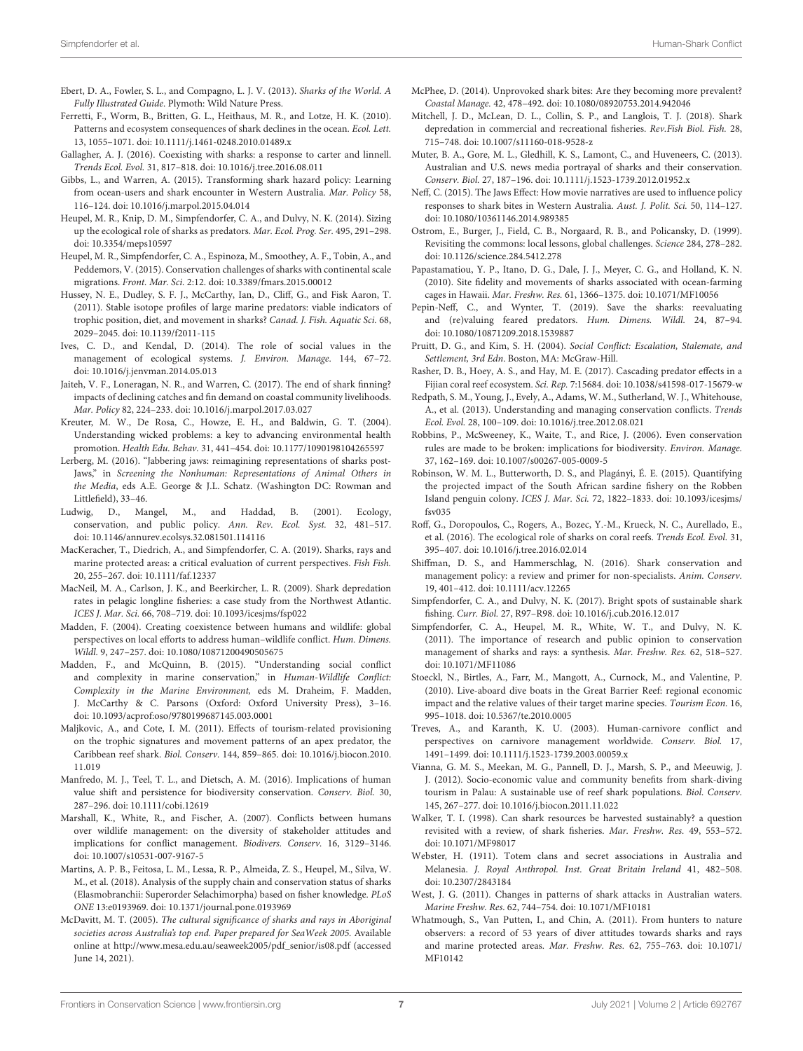- <span id="page-6-6"></span>Ebert, D. A., Fowler, S. L., and Compagno, L. J. V. (2013). Sharks of the World. A Fully Illustrated Guide. Plymoth: Wild Nature Press.
- <span id="page-6-35"></span>Ferretti, F., Worm, B., Britten, G. L., Heithaus, M. R., and Lotze, H. K. (2010). Patterns and ecosystem consequences of shark declines in the ocean. Ecol. Lett. 13, 1055–1071. doi: [10.1111/j.1461-0248.2010.01489.x](https://doi.org/10.1111/j.1461-0248.2010.01489.x)
- <span id="page-6-4"></span>Gallagher, A. J. (2016). Coexisting with sharks: a response to carter and linnell. Trends Ecol. Evol. 31, 817–818. doi: [10.1016/j.tree.2016.08.011](https://doi.org/10.1016/j.tree.2016.08.011)
- <span id="page-6-11"></span>Gibbs, L., and Warren, A. (2015). Transforming shark hazard policy: Learning from ocean-users and shark encounter in Western Australia. Mar. Policy 58, 116–124. doi: [10.1016/j.marpol.2015.04.014](https://doi.org/10.1016/j.marpol.2015.04.014)
- <span id="page-6-34"></span>Heupel, M. R., Knip, D. M., Simpfendorfer, C. A., and Dulvy, N. K. (2014). Sizing up the ecological role of sharks as predators. Mar. Ecol. Prog. Ser. 495, 291–298. doi: [10.3354/meps10597](https://doi.org/10.3354/meps10597)
- <span id="page-6-39"></span>Heupel, M. R., Simpfendorfer, C. A., Espinoza, M., Smoothey, A. F., Tobin, A., and Peddemors, V. (2015). Conservation challenges of sharks with continental scale migrations. Front. Mar. Sci. 2:12. doi: [10.3389/fmars.2015.00012](https://doi.org/10.3389/fmars.2015.00012)
- <span id="page-6-36"></span>Hussey, N. E., Dudley, S. F. J., McCarthy, Ian, D., Cliff, G., and Fisk Aaron, T. (2011). Stable isotope profiles of large marine predators: viable indicators of trophic position, diet, and movement in sharks? Canad. J. Fish. Aquatic Sci. 68, 2029–2045. doi: [10.1139/f2011-115](https://doi.org/10.1139/f2011-115)
- <span id="page-6-25"></span>Ives, C. D., and Kendal, D. (2014). The role of social values in the management of ecological systems. J. Environ. Manage. 144, 67–72. doi: [10.1016/j.jenvman.2014.05.013](https://doi.org/10.1016/j.jenvman.2014.05.013)
- <span id="page-6-13"></span>Jaiteh, V. F., Loneragan, N. R., and Warren, C. (2017). The end of shark finning? impacts of declining catches and fin demand on coastal community livelihoods. Mar. Policy 82, 224–233. doi: [10.1016/j.marpol.2017.03.027](https://doi.org/10.1016/j.marpol.2017.03.027)
- <span id="page-6-43"></span>Kreuter, M. W., De Rosa, C., Howze, E. H., and Baldwin, G. T. (2004). Understanding wicked problems: a key to advancing environmental health promotion. Health Edu. Behav. 31, 441–454. doi: [10.1177/1090198104265597](https://doi.org/10.1177/1090198104265597)
- <span id="page-6-7"></span>Lerberg, M. (2016). "Jabbering jaws: reimagining representations of sharks post-Jaws," in Screening the Nonhuman: Representations of Animal Others in the Media, eds A.E. George & J.L. Schatz. (Washington DC: Rowman and Littlefield), 33–46.
- <span id="page-6-42"></span>Ludwig, D., Mangel, M., and Haddad, B. (2001). Ecology, conservation, and public policy. Ann. Rev. Ecol. Syst. 32, 481–517. doi: [10.1146/annurev.ecolsys.32.081501.114116](https://doi.org/10.1146/annurev.ecolsys.32.081501.114116)
- <span id="page-6-40"></span>MacKeracher, T., Diedrich, A., and Simpfendorfer, C. A. (2019). Sharks, rays and marine protected areas: a critical evaluation of current perspectives. Fish Fish. 20, 255–267. doi: [10.1111/faf.12337](https://doi.org/10.1111/faf.12337)
- <span id="page-6-22"></span>MacNeil, M. A., Carlson, J. K., and Beerkircher, L. R. (2009). Shark depredation rates in pelagic longline fisheries: a case study from the Northwest Atlantic. ICES J. Mar. Sci. 66, 708–719. doi: [10.1093/icesjms/fsp022](https://doi.org/10.1093/icesjms/fsp022)
- <span id="page-6-3"></span>Madden, F. (2004). Creating coexistence between humans and wildlife: global perspectives on local efforts to address human–wildlife conflict. Hum. Dimens. Wildl. 9, 247–257. doi: [10.1080/10871200490505675](https://doi.org/10.1080/10871200490505675)
- <span id="page-6-0"></span>Madden, F., and McQuinn, B. (2015). "Understanding social conflict and complexity in marine conservation," in Human-Wildlife Conflict: Complexity in the Marine Environment, eds M. Draheim, F. Madden, J. McCarthy & C. Parsons (Oxford: Oxford University Press), 3–16. doi: [10.1093/acprof:oso/9780199687145.003.0001](https://doi.org/10.1093/acprof:oso/9780199687145.003.0001)
- <span id="page-6-19"></span>Maljkovic, A., and Cote, I. M. (2011). Effects of tourism-related provisioning on the trophic signatures and movement patterns of an apex predator, the Caribbean reef shark. Biol. Conserv. [144, 859–865. doi: 10.1016/j.biocon.2010.](https://doi.org/10.1016/j.biocon.2010.11.019) 11.019
- <span id="page-6-17"></span>Manfredo, M. J., Teel, T. L., and Dietsch, A. M. (2016). Implications of human value shift and persistence for biodiversity conservation. Conserv. Biol. 30, 287–296. doi: [10.1111/cobi.12619](https://doi.org/10.1111/cobi.12619)
- <span id="page-6-24"></span>Marshall, K., White, R., and Fischer, A. (2007). Conflicts between humans over wildlife management: on the diversity of stakeholder attitudes and implications for conflict management. Biodivers. Conserv. 16, 3129–3146. doi: [10.1007/s10531-007-9167-5](https://doi.org/10.1007/s10531-007-9167-5)
- <span id="page-6-31"></span>Martins, A. P. B., Feitosa, L. M., Lessa, R. P., Almeida, Z. S., Heupel, M., Silva, W. M., et al. (2018). Analysis of the supply chain and conservation status of sharks (Elasmobranchii: Superorder Selachimorpha) based on fisher knowledge. PLoS ONE 13:e0193969. doi: [10.1371/journal.pone.0193969](https://doi.org/10.1371/journal.pone.0193969)
- <span id="page-6-27"></span>McDavitt, M. T. (2005). The cultural significance of sharks and rays in Aboriginal societies across Australia's top end. Paper prepared for SeaWeek 2005. Available online at [http://www.mesa.edu.au/seaweek2005/pdf\\_senior/is08.pdf](http://www.mesa.edu.au/seaweek2005/pdf_senior/is08.pdf) (accessed June 14, 2021).
- <span id="page-6-8"></span>McPhee, D. (2014). Unprovoked shark bites: Are they becoming more prevalent? Coastal Manage. 42, 478–492. doi: [10.1080/08920753.2014.942046](https://doi.org/10.1080/08920753.2014.942046)
- <span id="page-6-23"></span>Mitchell, J. D., McLean, D. L., Collin, S. P., and Langlois, T. J. (2018). Shark depredation in commercial and recreational fisheries. Rev.Fish Biol. Fish. 28, 715–748. doi: [10.1007/s11160-018-9528-z](https://doi.org/10.1007/s11160-018-9528-z)
- <span id="page-6-28"></span>Muter, B. A., Gore, M. L., Gledhill, K. S., Lamont, C., and Huveneers, C. (2013). Australian and U.S. news media portrayal of sharks and their conservation. Conserv. Biol. 27, 187–196. doi: [10.1111/j.1523-1739.2012.01952.x](https://doi.org/10.1111/j.1523-1739.2012.01952.x)
- <span id="page-6-29"></span>Neff, C. (2015). The Jaws Effect: How movie narratives are used to influence policy responses to shark bites in Western Australia. Aust. J. Polit. Sci. 50, 114–127. doi: [10.1080/10361146.2014.989385](https://doi.org/10.1080/10361146.2014.989385)
- <span id="page-6-14"></span>Ostrom, E., Burger, J., Field, C. B., Norgaard, R. B., and Policansky, D. (1999). Revisiting the commons: local lessons, global challenges. Science 284, 278–282. doi: [10.1126/science.284.5412.278](https://doi.org/10.1126/science.284.5412.278)
- <span id="page-6-21"></span>Papastamatiou, Y. P., Itano, D. G., Dale, J. J., Meyer, C. G., and Holland, K. N. (2010). Site fidelity and movements of sharks associated with ocean-farming cages in Hawaii. Mar. Freshw. Res. 61, 1366–1375. doi: [10.1071/MF10056](https://doi.org/10.1071/MF10056)
- <span id="page-6-12"></span>Pepin-Neff, C., and Wynter, T. (2019). Save the sharks: reevaluating and (re)valuing feared predators. Hum. Dimens. Wildl. 24, 87–94. doi: [10.1080/10871209.2018.1539887](https://doi.org/10.1080/10871209.2018.1539887)
- <span id="page-6-1"></span>Pruitt, D. G., and Kim, S. H. (2004). Social Conflict: Escalation, Stalemate, and Settlement, 3rd Edn. Boston, MA: McGraw-Hill.
- <span id="page-6-38"></span>Rasher, D. B., Hoey, A. S., and Hay, M. E. (2017). Cascading predator effects in a Fijian coral reef ecosystem. Sci. Rep. 7:15684. doi: [10.1038/s41598-017-15679-w](https://doi.org/10.1038/s41598-017-15679-w)
- <span id="page-6-2"></span>Redpath, S. M., Young, J., Evely, A., Adams, W. M., Sutherland, W. J., Whitehouse, A., et al. (2013). Understanding and managing conservation conflicts. Trends Ecol. Evol. 28, 100–109. doi: [10.1016/j.tree.2012.08.021](https://doi.org/10.1016/j.tree.2012.08.021)
- <span id="page-6-41"></span>Robbins, P., McSweeney, K., Waite, T., and Rice, J. (2006). Even conservation rules are made to be broken: implications for biodiversity. Environ. Manage. 37, 162–169. doi: [10.1007/s00267-005-0009-5](https://doi.org/10.1007/s00267-005-0009-5)
- <span id="page-6-20"></span>Robinson, W. M. L., Butterworth, D. S., and Plagányi, É. E. (2015). Quantifying the projected impact of the South African sardine fishery on the Robben Island penguin colony. ICES J. Mar. Sci. [72, 1822–1833. doi: 10.1093/icesjms/](https://doi.org/10.1093/icesjms/fsv035) fsv035
- <span id="page-6-37"></span>Roff, G., Doropoulos, C., Rogers, A., Bozec, Y.-M., Krueck, N. C., Aurellado, E., et al. (2016). The ecological role of sharks on coral reefs. Trends Ecol. Evol. 31, 395–407. doi: [10.1016/j.tree.2016.02.014](https://doi.org/10.1016/j.tree.2016.02.014)
- <span id="page-6-15"></span>Shiffman, D. S., and Hammerschlag, N. (2016). Shark conservation and management policy: a review and primer for non-specialists. Anim. Conserv. 19, 401–412. doi: [10.1111/acv.12265](https://doi.org/10.1111/acv.12265)
- <span id="page-6-5"></span>Simpfendorfer, C. A., and Dulvy, N. K. (2017). Bright spots of sustainable shark fishing. Curr. Biol. 27, R97–R98. doi: [10.1016/j.cub.2016.12.017](https://doi.org/10.1016/j.cub.2016.12.017)
- <span id="page-6-33"></span>Simpfendorfer, C. A., Heupel, M. R., White, W. T., and Dulvy, N. K. (2011). The importance of research and public opinion to conservation management of sharks and rays: a synthesis. Mar. Freshw. Res. 62, 518–527. doi: [10.1071/MF11086](https://doi.org/10.1071/MF11086)
- <span id="page-6-18"></span>Stoeckl, N., Birtles, A., Farr, M., Mangott, A., Curnock, M., and Valentine, P. (2010). Live-aboard dive boats in the Great Barrier Reef: regional economic impact and the relative values of their target marine species. Tourism Econ. 16, 995–1018. doi: [10.5367/te.2010.0005](https://doi.org/10.5367/te.2010.0005)
- <span id="page-6-10"></span>Treves, A., and Karanth, K. U. (2003). Human-carnivore conflict and perspectives on carnivore management worldwide. Conserv. Biol. 17, 1491–1499. doi: [10.1111/j.1523-1739.2003.00059.x](https://doi.org/10.1111/j.1523-1739.2003.00059.x)
- <span id="page-6-32"></span>Vianna, G. M. S., Meekan, M. G., Pannell, D. J., Marsh, S. P., and Meeuwig, J. J. (2012). Socio-economic value and community benefits from shark-diving tourism in Palau: A sustainable use of reef shark populations. Biol. Conserv. 145, 267–277. doi: [10.1016/j.biocon.2011.11.022](https://doi.org/10.1016/j.biocon.2011.11.022)
- <span id="page-6-30"></span>Walker, T. I. (1998). Can shark resources be harvested sustainably? a question revisited with a review, of shark fisheries. Mar. Freshw. Res. 49, 553–572. doi: [10.1071/MF98017](https://doi.org/10.1071/MF98017)
- <span id="page-6-26"></span>Webster, H. (1911). Totem clans and secret associations in Australia and Melanesia. J. Royal Anthropol. Inst. Great Britain Ireland 41, 482–508. doi: [10.2307/2843184](https://doi.org/10.2307/2843184)
- <span id="page-6-9"></span>West, J. G. (2011). Changes in patterns of shark attacks in Australian waters. Marine Freshw. Res. 62, 744–754. doi: [10.1071/MF10181](https://doi.org/10.1071/MF10181)
- <span id="page-6-16"></span>Whatmough, S., Van Putten, I., and Chin, A. (2011). From hunters to nature observers: a record of 53 years of diver attitudes towards sharks and rays [and marine protected areas.](https://doi.org/10.1071/MF10142) Mar. Freshw. Res. 62, 755–763. doi: 10.1071/ MF10142